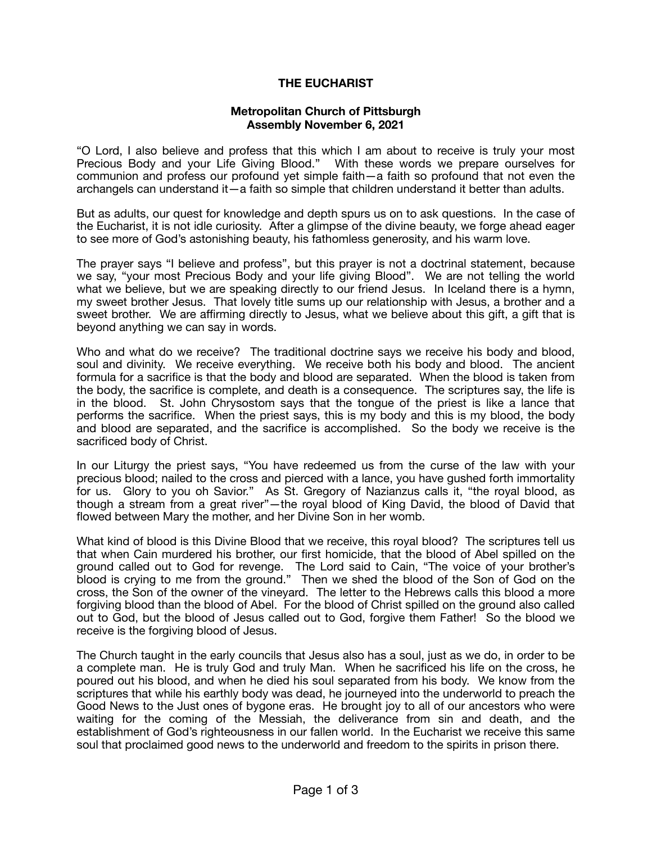## **THE EUCHARIST**

## **Metropolitan Church of Pittsburgh Assembly November 6, 2021**

"O Lord, I also believe and profess that this which I am about to receive is truly your most Precious Body and your Life Giving Blood." With these words we prepare ourselves for communion and profess our profound yet simple faith—a faith so profound that not even the archangels can understand it—a faith so simple that children understand it better than adults.

But as adults, our quest for knowledge and depth spurs us on to ask questions. In the case of the Eucharist, it is not idle curiosity. After a glimpse of the divine beauty, we forge ahead eager to see more of God's astonishing beauty, his fathomless generosity, and his warm love.

The prayer says "I believe and profess", but this prayer is not a doctrinal statement, because we say, "your most Precious Body and your life giving Blood". We are not telling the world what we believe, but we are speaking directly to our friend Jesus. In Iceland there is a hymn, my sweet brother Jesus. That lovely title sums up our relationship with Jesus, a brother and a sweet brother. We are affirming directly to Jesus, what we believe about this gift, a gift that is beyond anything we can say in words.

Who and what do we receive? The traditional doctrine says we receive his body and blood, soul and divinity. We receive everything. We receive both his body and blood. The ancient formula for a sacrifice is that the body and blood are separated. When the blood is taken from the body, the sacrifice is complete, and death is a consequence. The scriptures say, the life is in the blood. St. John Chrysostom says that the tongue of the priest is like a lance that performs the sacrifice. When the priest says, this is my body and this is my blood, the body and blood are separated, and the sacrifice is accomplished. So the body we receive is the sacrificed body of Christ.

In our Liturgy the priest says, "You have redeemed us from the curse of the law with your precious blood; nailed to the cross and pierced with a lance, you have gushed forth immortality for us. Glory to you oh Savior." As St. Gregory of Nazianzus calls it, "the royal blood, as though a stream from a great river"—the royal blood of King David, the blood of David that flowed between Mary the mother, and her Divine Son in her womb.

What kind of blood is this Divine Blood that we receive, this royal blood? The scriptures tell us that when Cain murdered his brother, our first homicide, that the blood of Abel spilled on the ground called out to God for revenge. The Lord said to Cain, "The voice of your brother's blood is crying to me from the ground." Then we shed the blood of the Son of God on the cross, the Son of the owner of the vineyard. The letter to the Hebrews calls this blood a more forgiving blood than the blood of Abel. For the blood of Christ spilled on the ground also called out to God, but the blood of Jesus called out to God, forgive them Father! So the blood we receive is the forgiving blood of Jesus.

The Church taught in the early councils that Jesus also has a soul, just as we do, in order to be a complete man. He is truly God and truly Man. When he sacrificed his life on the cross, he poured out his blood, and when he died his soul separated from his body. We know from the scriptures that while his earthly body was dead, he journeyed into the underworld to preach the Good News to the Just ones of bygone eras. He brought joy to all of our ancestors who were waiting for the coming of the Messiah, the deliverance from sin and death, and the establishment of God's righteousness in our fallen world. In the Eucharist we receive this same soul that proclaimed good news to the underworld and freedom to the spirits in prison there.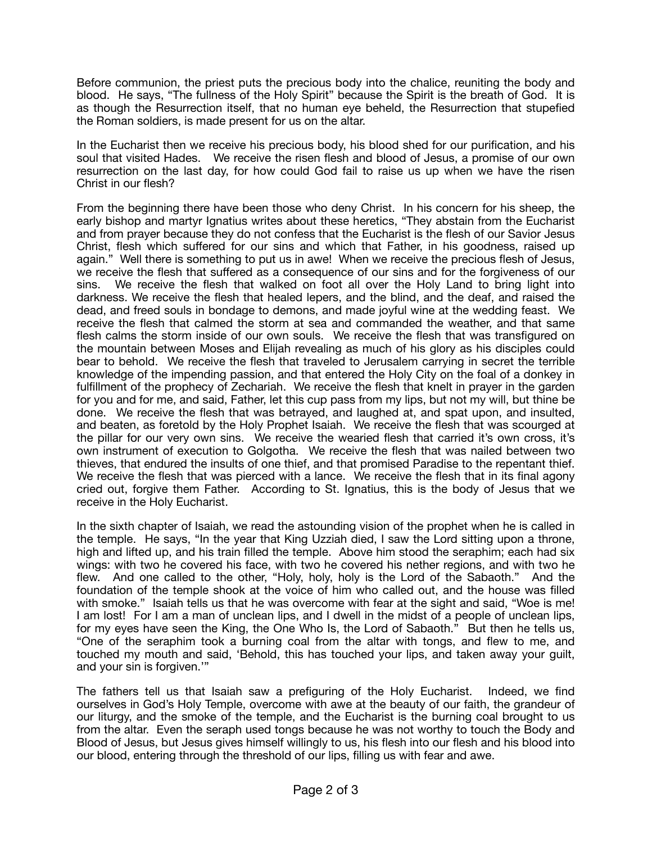Before communion, the priest puts the precious body into the chalice, reuniting the body and blood. He says, "The fullness of the Holy Spirit" because the Spirit is the breath of God. It is as though the Resurrection itself, that no human eye beheld, the Resurrection that stupefied the Roman soldiers, is made present for us on the altar.

In the Eucharist then we receive his precious body, his blood shed for our purification, and his soul that visited Hades. We receive the risen flesh and blood of Jesus, a promise of our own resurrection on the last day, for how could God fail to raise us up when we have the risen Christ in our flesh?

From the beginning there have been those who deny Christ. In his concern for his sheep, the early bishop and martyr Ignatius writes about these heretics, "They abstain from the Eucharist and from prayer because they do not confess that the Eucharist is the flesh of our Savior Jesus Christ, flesh which suffered for our sins and which that Father, in his goodness, raised up again." Well there is something to put us in awe! When we receive the precious flesh of Jesus, we receive the flesh that suffered as a consequence of our sins and for the forgiveness of our sins. We receive the flesh that walked on foot all over the Holy Land to bring light into darkness. We receive the flesh that healed lepers, and the blind, and the deaf, and raised the dead, and freed souls in bondage to demons, and made joyful wine at the wedding feast. We receive the flesh that calmed the storm at sea and commanded the weather, and that same flesh calms the storm inside of our own souls. We receive the flesh that was transfigured on the mountain between Moses and Elijah revealing as much of his glory as his disciples could bear to behold. We receive the flesh that traveled to Jerusalem carrying in secret the terrible knowledge of the impending passion, and that entered the Holy City on the foal of a donkey in fulfillment of the prophecy of Zechariah. We receive the flesh that knelt in prayer in the garden for you and for me, and said, Father, let this cup pass from my lips, but not my will, but thine be done. We receive the flesh that was betrayed, and laughed at, and spat upon, and insulted, and beaten, as foretold by the Holy Prophet Isaiah. We receive the flesh that was scourged at the pillar for our very own sins. We receive the wearied flesh that carried it's own cross, it's own instrument of execution to Golgotha. We receive the flesh that was nailed between two thieves, that endured the insults of one thief, and that promised Paradise to the repentant thief. We receive the flesh that was pierced with a lance. We receive the flesh that in its final agony cried out, forgive them Father. According to St. Ignatius, this is the body of Jesus that we receive in the Holy Eucharist.

In the sixth chapter of Isaiah, we read the astounding vision of the prophet when he is called in the temple. He says, "In the year that King Uzziah died, I saw the Lord sitting upon a throne, high and lifted up, and his train filled the temple. Above him stood the seraphim; each had six wings: with two he covered his face, with two he covered his nether regions, and with two he flew. And one called to the other, "Holy, holy, holy is the Lord of the Sabaoth." And the foundation of the temple shook at the voice of him who called out, and the house was filled with smoke." Isaiah tells us that he was overcome with fear at the sight and said, "Woe is me! I am lost! For I am a man of unclean lips, and I dwell in the midst of a people of unclean lips, for my eyes have seen the King, the One Who Is, the Lord of Sabaoth." But then he tells us, "One of the seraphim took a burning coal from the altar with tongs, and flew to me, and touched my mouth and said, 'Behold, this has touched your lips, and taken away your guilt, and your sin is forgiven.'"

The fathers tell us that Isaiah saw a prefiguring of the Holy Eucharist. Indeed, we find ourselves in God's Holy Temple, overcome with awe at the beauty of our faith, the grandeur of our liturgy, and the smoke of the temple, and the Eucharist is the burning coal brought to us from the altar. Even the seraph used tongs because he was not worthy to touch the Body and Blood of Jesus, but Jesus gives himself willingly to us, his flesh into our flesh and his blood into our blood, entering through the threshold of our lips, filling us with fear and awe.